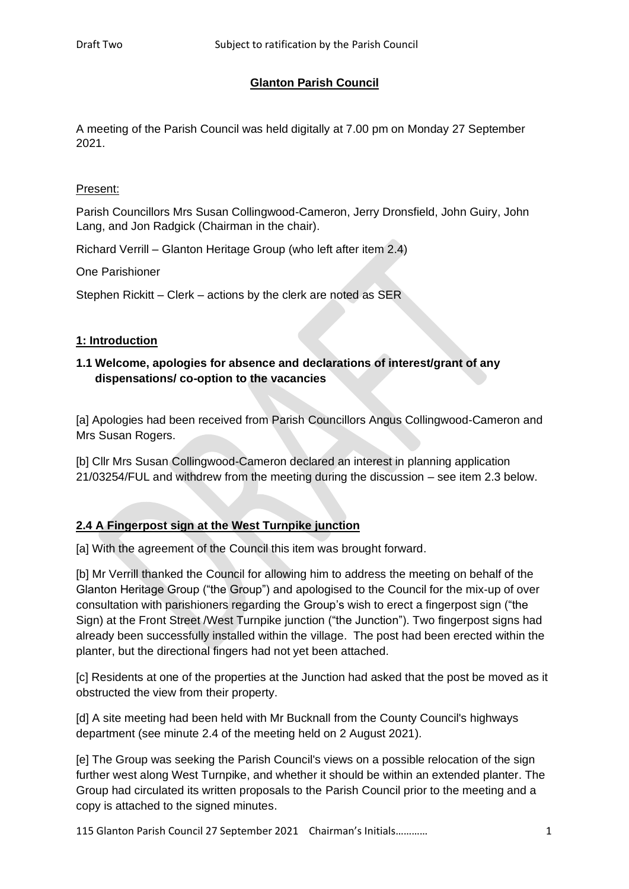# **Glanton Parish Council**

A meeting of the Parish Council was held digitally at 7.00 pm on Monday 27 September 2021.

### Present:

Parish Councillors Mrs Susan Collingwood-Cameron, Jerry Dronsfield, John Guiry, John Lang, and Jon Radgick (Chairman in the chair).

Richard Verrill – Glanton Heritage Group (who left after item 2.4)

One Parishioner

Stephen Rickitt – Clerk – actions by the clerk are noted as SER

### **1: Introduction**

# **1.1 Welcome, apologies for absence and declarations of interest/grant of any dispensations/ co-option to the vacancies**

[a] Apologies had been received from Parish Councillors Angus Collingwood-Cameron and Mrs Susan Rogers.

[b] Cllr Mrs Susan Collingwood-Cameron declared an interest in planning application 21/03254/FUL and withdrew from the meeting during the discussion – see item 2.3 below.

# **2.4 A Fingerpost sign at the West Turnpike junction**

[a] With the agreement of the Council this item was brought forward.

[b] Mr Verrill thanked the Council for allowing him to address the meeting on behalf of the Glanton Heritage Group ("the Group") and apologised to the Council for the mix-up of over consultation with parishioners regarding the Group's wish to erect a fingerpost sign ("the Sign) at the Front Street /West Turnpike junction ("the Junction"). Two fingerpost signs had already been successfully installed within the village. The post had been erected within the planter, but the directional fingers had not yet been attached.

[c] Residents at one of the properties at the Junction had asked that the post be moved as it obstructed the view from their property.

[d] A site meeting had been held with Mr Bucknall from the County Council's highways department (see minute 2.4 of the meeting held on 2 August 2021).

[e] The Group was seeking the Parish Council's views on a possible relocation of the sign further west along West Turnpike, and whether it should be within an extended planter. The Group had circulated its written proposals to the Parish Council prior to the meeting and a copy is attached to the signed minutes.

115 Glanton Parish Council 27 September 2021 Chairman's Initials………… 1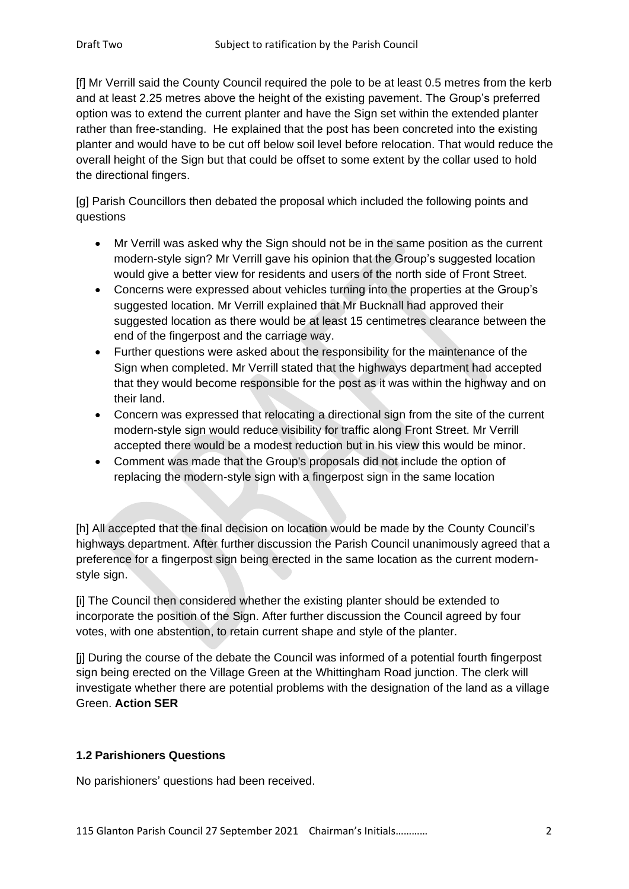[f] Mr Verrill said the County Council required the pole to be at least 0.5 metres from the kerb and at least 2.25 metres above the height of the existing pavement. The Group's preferred option was to extend the current planter and have the Sign set within the extended planter rather than free-standing. He explained that the post has been concreted into the existing planter and would have to be cut off below soil level before relocation. That would reduce the overall height of the Sign but that could be offset to some extent by the collar used to hold the directional fingers.

[g] Parish Councillors then debated the proposal which included the following points and questions

- Mr Verrill was asked why the Sign should not be in the same position as the current modern-style sign? Mr Verrill gave his opinion that the Group's suggested location would give a better view for residents and users of the north side of Front Street.
- Concerns were expressed about vehicles turning into the properties at the Group's suggested location. Mr Verrill explained that Mr Bucknall had approved their suggested location as there would be at least 15 centimetres clearance between the end of the fingerpost and the carriage way.
- Further questions were asked about the responsibility for the maintenance of the Sign when completed. Mr Verrill stated that the highways department had accepted that they would become responsible for the post as it was within the highway and on their land.
- Concern was expressed that relocating a directional sign from the site of the current modern-style sign would reduce visibility for traffic along Front Street. Mr Verrill accepted there would be a modest reduction but in his view this would be minor.
- Comment was made that the Group's proposals did not include the option of replacing the modern-style sign with a fingerpost sign in the same location

[h] All accepted that the final decision on location would be made by the County Council's highways department. After further discussion the Parish Council unanimously agreed that a preference for a fingerpost sign being erected in the same location as the current modernstyle sign.

[i] The Council then considered whether the existing planter should be extended to incorporate the position of the Sign. After further discussion the Council agreed by four votes, with one abstention, to retain current shape and style of the planter.

[j] During the course of the debate the Council was informed of a potential fourth fingerpost sign being erected on the Village Green at the Whittingham Road junction. The clerk will investigate whether there are potential problems with the designation of the land as a village Green. **Action SER**

# **1.2 Parishioners Questions**

No parishioners' questions had been received.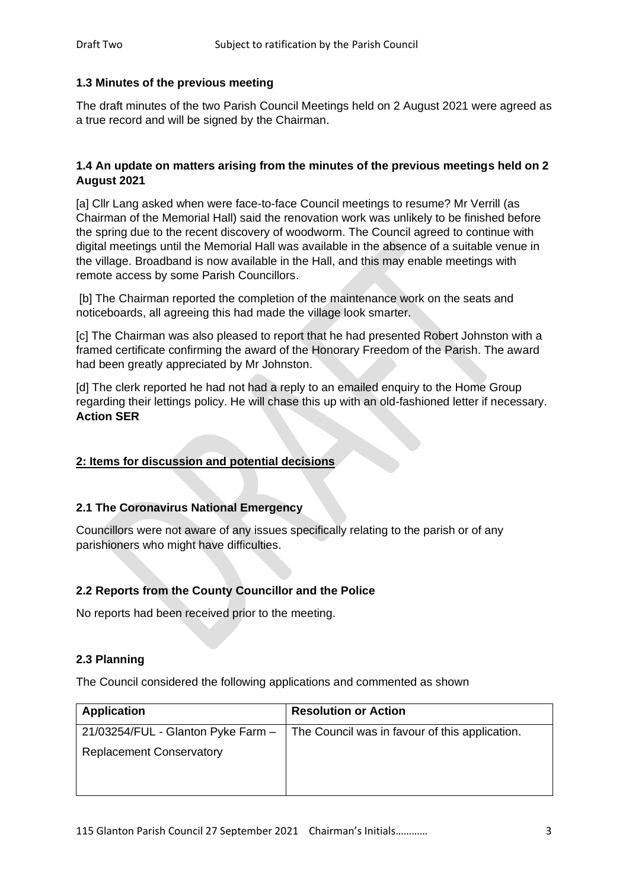### **1.3 Minutes of the previous meeting**

The draft minutes of the two Parish Council Meetings held on 2 August 2021 were agreed as a true record and will be signed by the Chairman.

### **1.4 An update on matters arising from the minutes of the previous meetings held on 2 August 2021**

[a] Cllr Lang asked when were face-to-face Council meetings to resume? Mr Verrill (as Chairman of the Memorial Hall) said the renovation work was unlikely to be finished before the spring due to the recent discovery of woodworm. The Council agreed to continue with digital meetings until the Memorial Hall was available in the absence of a suitable venue in the village. Broadband is now available in the Hall, and this may enable meetings with remote access by some Parish Councillors.

[b] The Chairman reported the completion of the maintenance work on the seats and noticeboards, all agreeing this had made the village look smarter.

[c] The Chairman was also pleased to report that he had presented Robert Johnston with a framed certificate confirming the award of the Honorary Freedom of the Parish. The award had been greatly appreciated by Mr Johnston.

[d] The clerk reported he had not had a reply to an emailed enquiry to the Home Group regarding their lettings policy. He will chase this up with an old-fashioned letter if necessary. **Action SER**

# **2: Items for discussion and potential decisions**

#### **2.1 The Coronavirus National Emergency**

Councillors were not aware of any issues specifically relating to the parish or of any parishioners who might have difficulties.

# **2.2 Reports from the County Councillor and the Police**

No reports had been received prior to the meeting.

#### **2.3 Planning**

The Council considered the following applications and commented as shown

| <b>Application</b>                 | <b>Resolution or Action</b>                    |
|------------------------------------|------------------------------------------------|
| 21/03254/FUL - Glanton Pyke Farm - | The Council was in favour of this application. |
| <b>Replacement Conservatory</b>    |                                                |
|                                    |                                                |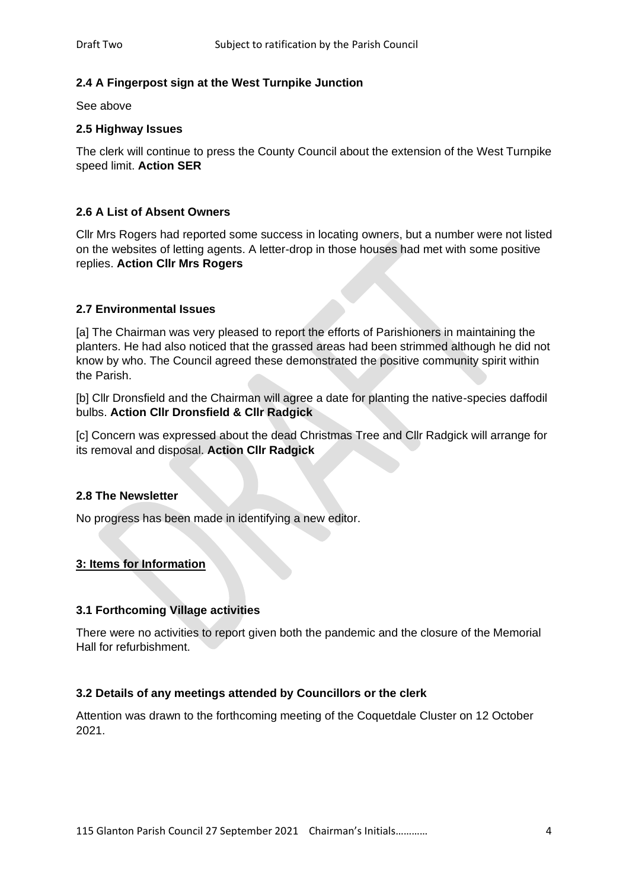# **2.4 A Fingerpost sign at the West Turnpike Junction**

See above

#### **2.5 Highway Issues**

The clerk will continue to press the County Council about the extension of the West Turnpike speed limit. **Action SER**

# **2.6 A List of Absent Owners**

Cllr Mrs Rogers had reported some success in locating owners, but a number were not listed on the websites of letting agents. A letter-drop in those houses had met with some positive replies. **Action Cllr Mrs Rogers**

### **2.7 Environmental Issues**

[a] The Chairman was very pleased to report the efforts of Parishioners in maintaining the planters. He had also noticed that the grassed areas had been strimmed although he did not know by who. The Council agreed these demonstrated the positive community spirit within the Parish.

[b] Cllr Dronsfield and the Chairman will agree a date for planting the native-species daffodil bulbs. **Action Cllr Dronsfield & Cllr Radgick**

[c] Concern was expressed about the dead Christmas Tree and Cllr Radgick will arrange for its removal and disposal. **Action Cllr Radgick**

#### **2.8 The Newsletter**

No progress has been made in identifying a new editor.

#### **3: Items for Information**

#### **3.1 Forthcoming Village activities**

There were no activities to report given both the pandemic and the closure of the Memorial Hall for refurbishment.

#### **3.2 Details of any meetings attended by Councillors or the clerk**

Attention was drawn to the forthcoming meeting of the Coquetdale Cluster on 12 October 2021.